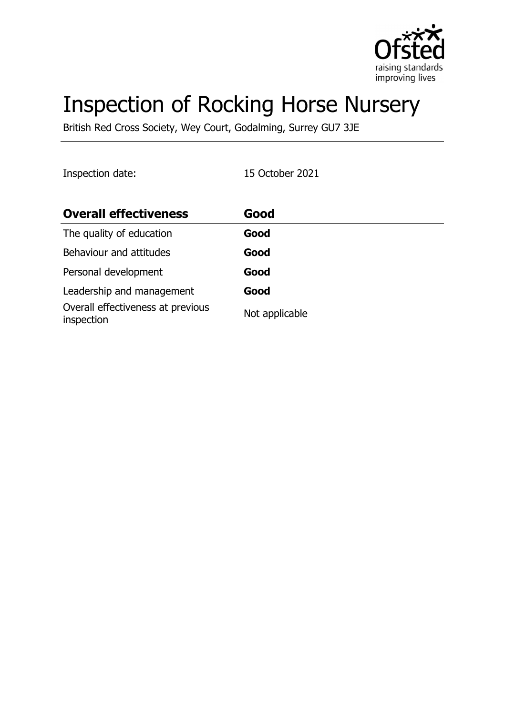

# Inspection of Rocking Horse Nursery

British Red Cross Society, Wey Court, Godalming, Surrey GU7 3JE

Inspection date: 15 October 2021

| <b>Overall effectiveness</b>                    | Good           |
|-------------------------------------------------|----------------|
| The quality of education                        | Good           |
| Behaviour and attitudes                         | Good           |
| Personal development                            | Good           |
| Leadership and management                       | Good           |
| Overall effectiveness at previous<br>inspection | Not applicable |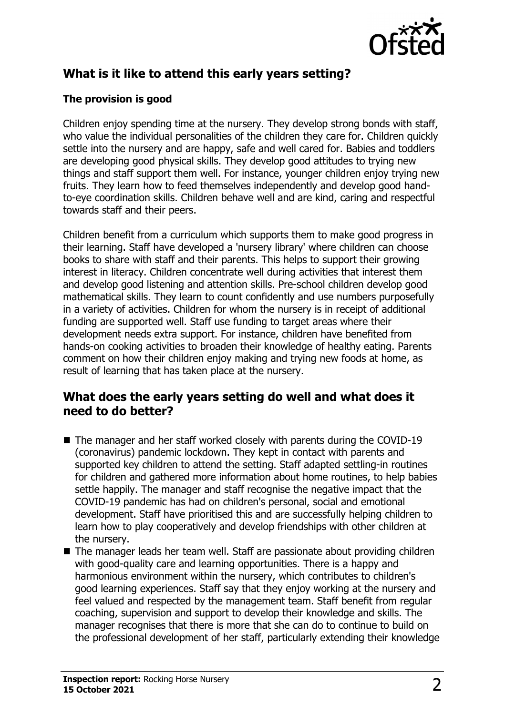

# **What is it like to attend this early years setting?**

### **The provision is good**

Children enjoy spending time at the nursery. They develop strong bonds with staff, who value the individual personalities of the children they care for. Children quickly settle into the nursery and are happy, safe and well cared for. Babies and toddlers are developing good physical skills. They develop good attitudes to trying new things and staff support them well. For instance, younger children enjoy trying new fruits. They learn how to feed themselves independently and develop good handto-eye coordination skills. Children behave well and are kind, caring and respectful towards staff and their peers.

Children benefit from a curriculum which supports them to make good progress in their learning. Staff have developed a 'nursery library' where children can choose books to share with staff and their parents. This helps to support their growing interest in literacy. Children concentrate well during activities that interest them and develop good listening and attention skills. Pre-school children develop good mathematical skills. They learn to count confidently and use numbers purposefully in a variety of activities. Children for whom the nursery is in receipt of additional funding are supported well. Staff use funding to target areas where their development needs extra support. For instance, children have benefited from hands-on cooking activities to broaden their knowledge of healthy eating. Parents comment on how their children enjoy making and trying new foods at home, as result of learning that has taken place at the nursery.

## **What does the early years setting do well and what does it need to do better?**

- $\blacksquare$  The manager and her staff worked closely with parents during the COVID-19 (coronavirus) pandemic lockdown. They kept in contact with parents and supported key children to attend the setting. Staff adapted settling-in routines for children and gathered more information about home routines, to help babies settle happily. The manager and staff recognise the negative impact that the COVID-19 pandemic has had on children's personal, social and emotional development. Staff have prioritised this and are successfully helping children to learn how to play cooperatively and develop friendships with other children at the nursery.
- $\blacksquare$  The manager leads her team well. Staff are passionate about providing children with good-quality care and learning opportunities. There is a happy and harmonious environment within the nursery, which contributes to children's good learning experiences. Staff say that they enjoy working at the nursery and feel valued and respected by the management team. Staff benefit from regular coaching, supervision and support to develop their knowledge and skills. The manager recognises that there is more that she can do to continue to build on the professional development of her staff, particularly extending their knowledge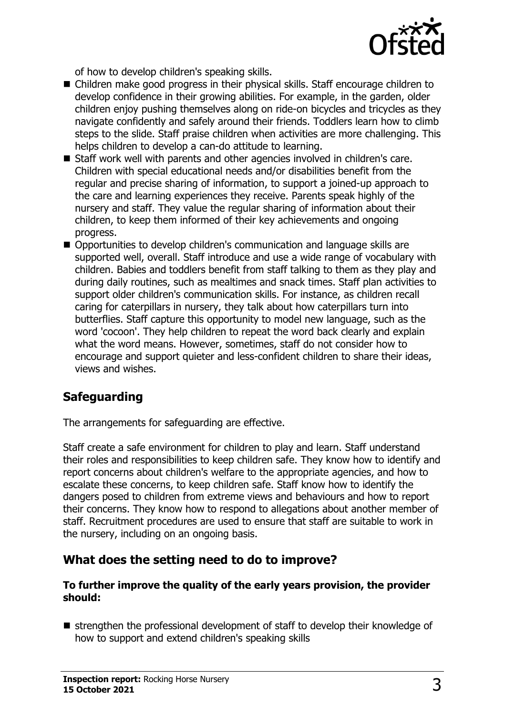

of how to develop children's speaking skills.

- Children make good progress in their physical skills. Staff encourage children to develop confidence in their growing abilities. For example, in the garden, older children enjoy pushing themselves along on ride-on bicycles and tricycles as they navigate confidently and safely around their friends. Toddlers learn how to climb steps to the slide. Staff praise children when activities are more challenging. This helps children to develop a can-do attitude to learning.
- Staff work well with parents and other agencies involved in children's care. Children with special educational needs and/or disabilities benefit from the regular and precise sharing of information, to support a joined-up approach to the care and learning experiences they receive. Parents speak highly of the nursery and staff. They value the regular sharing of information about their children, to keep them informed of their key achievements and ongoing progress.
- Opportunities to develop children's communication and language skills are supported well, overall. Staff introduce and use a wide range of vocabulary with children. Babies and toddlers benefit from staff talking to them as they play and during daily routines, such as mealtimes and snack times. Staff plan activities to support older children's communication skills. For instance, as children recall caring for caterpillars in nursery, they talk about how caterpillars turn into butterflies. Staff capture this opportunity to model new language, such as the word 'cocoon'. They help children to repeat the word back clearly and explain what the word means. However, sometimes, staff do not consider how to encourage and support quieter and less-confident children to share their ideas, views and wishes.

# **Safeguarding**

The arrangements for safeguarding are effective.

Staff create a safe environment for children to play and learn. Staff understand their roles and responsibilities to keep children safe. They know how to identify and report concerns about children's welfare to the appropriate agencies, and how to escalate these concerns, to keep children safe. Staff know how to identify the dangers posed to children from extreme views and behaviours and how to report their concerns. They know how to respond to allegations about another member of staff. Recruitment procedures are used to ensure that staff are suitable to work in the nursery, including on an ongoing basis.

# **What does the setting need to do to improve?**

#### **To further improve the quality of the early years provision, the provider should:**

 $\blacksquare$  strengthen the professional development of staff to develop their knowledge of how to support and extend children's speaking skills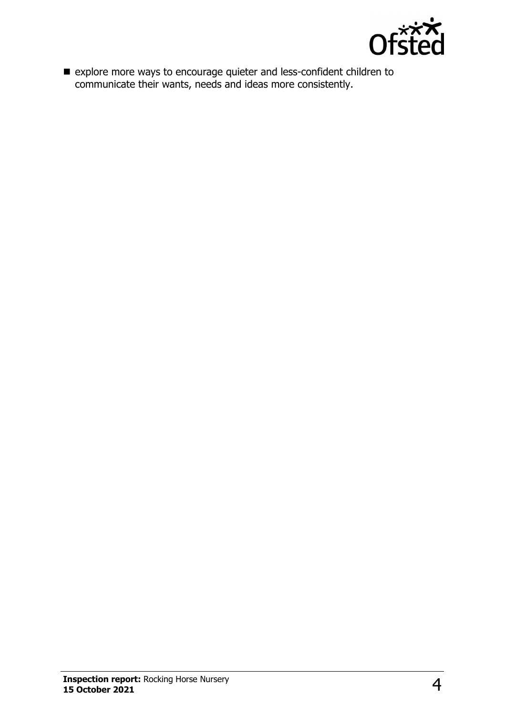

 $\blacksquare$  explore more ways to encourage quieter and less-confident children to communicate their wants, needs and ideas more consistently.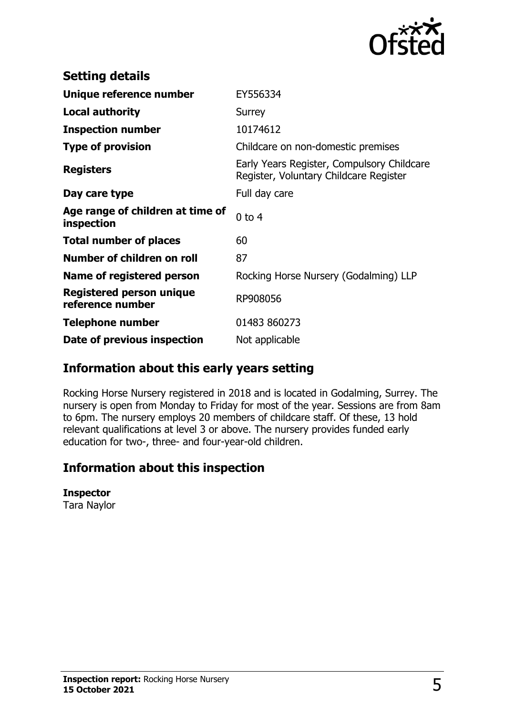

| <b>Setting details</b>                         |                                                                                      |
|------------------------------------------------|--------------------------------------------------------------------------------------|
| Unique reference number                        | EY556334                                                                             |
| Local authority                                | Surrey                                                                               |
| <b>Inspection number</b>                       | 10174612                                                                             |
| <b>Type of provision</b>                       | Childcare on non-domestic premises                                                   |
| <b>Registers</b>                               | Early Years Register, Compulsory Childcare<br>Register, Voluntary Childcare Register |
| Day care type                                  | Full day care                                                                        |
| Age range of children at time of<br>inspection | $0$ to $4$                                                                           |
| <b>Total number of places</b>                  | 60                                                                                   |
| Number of children on roll                     | 87                                                                                   |
| Name of registered person                      | Rocking Horse Nursery (Godalming) LLP                                                |
| Registered person unique<br>reference number   | RP908056                                                                             |
| <b>Telephone number</b>                        | 01483 860273                                                                         |
| Date of previous inspection                    | Not applicable                                                                       |

# **Information about this early years setting**

Rocking Horse Nursery registered in 2018 and is located in Godalming, Surrey. The nursery is open from Monday to Friday for most of the year. Sessions are from 8am to 6pm. The nursery employs 20 members of childcare staff. Of these, 13 hold relevant qualifications at level 3 or above. The nursery provides funded early education for two-, three- and four-year-old children.

# **Information about this inspection**

#### **Inspector**

Tara Naylor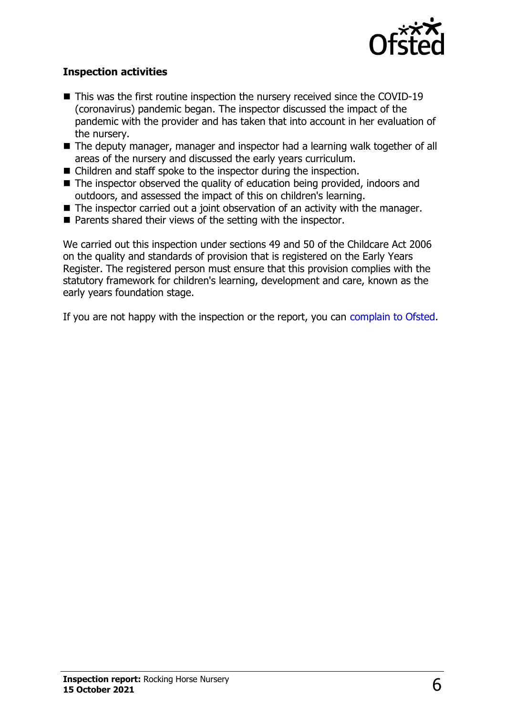

#### **Inspection activities**

- $\blacksquare$  This was the first routine inspection the nursery received since the COVID-19 (coronavirus) pandemic began. The inspector discussed the impact of the pandemic with the provider and has taken that into account in her evaluation of the nursery.
- The deputy manager, manager and inspector had a learning walk together of all areas of the nursery and discussed the early years curriculum.
- $\blacksquare$  Children and staff spoke to the inspector during the inspection.
- $\blacksquare$  The inspector observed the quality of education being provided, indoors and outdoors, and assessed the impact of this on children's learning.
- $\blacksquare$  The inspector carried out a joint observation of an activity with the manager.
- $\blacksquare$  Parents shared their views of the setting with the inspector.

We carried out this inspection under sections 49 and 50 of the Childcare Act 2006 on the quality and standards of provision that is registered on the Early Years Register. The registered person must ensure that this provision complies with the statutory framework for children's learning, development and care, known as the early years foundation stage.

If you are not happy with the inspection or the report, you can [complain to Ofsted](http://www.gov.uk/complain-ofsted-report).